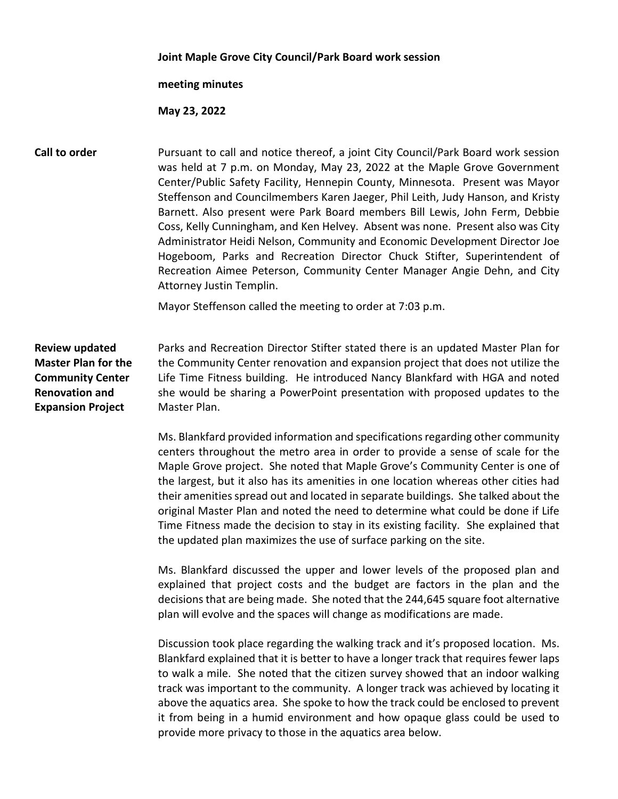## **Joint Maple Grove City Council/Park Board work session**

## **meeting minutes**

## **May 23, 2022**

**Call to order Pursuant to call and notice thereof, a joint City Council/Park Board work session** was held at 7 p.m. on Monday, May 23, 2022 at the Maple Grove Government Center/Public Safety Facility, Hennepin County, Minnesota. Present was Mayor Steffenson and Councilmembers Karen Jaeger, Phil Leith, Judy Hanson, and Kristy Barnett. Also present were Park Board members Bill Lewis, John Ferm, Debbie Coss, Kelly Cunningham, and Ken Helvey. Absent was none. Present also was City Administrator Heidi Nelson, Community and Economic Development Director Joe Hogeboom, Parks and Recreation Director Chuck Stifter, Superintendent of Recreation Aimee Peterson, Community Center Manager Angie Dehn, and City Attorney Justin Templin.

Mayor Steffenson called the meeting to order at 7:03 p.m.

**Review updated Master Plan for the Community Center Renovation and Expansion Project** Parks and Recreation Director Stifter stated there is an updated Master Plan for the Community Center renovation and expansion project that does not utilize the Life Time Fitness building. He introduced Nancy Blankfard with HGA and noted she would be sharing a PowerPoint presentation with proposed updates to the Master Plan.

> Ms. Blankfard provided information and specifications regarding other community centers throughout the metro area in order to provide a sense of scale for the Maple Grove project. She noted that Maple Grove's Community Center is one of the largest, but it also has its amenities in one location whereas other cities had their amenities spread out and located in separate buildings. She talked about the original Master Plan and noted the need to determine what could be done if Life Time Fitness made the decision to stay in its existing facility. She explained that the updated plan maximizes the use of surface parking on the site.

> Ms. Blankfard discussed the upper and lower levels of the proposed plan and explained that project costs and the budget are factors in the plan and the decisions that are being made. She noted that the 244,645 square foot alternative plan will evolve and the spaces will change as modifications are made.

> Discussion took place regarding the walking track and it's proposed location. Ms. Blankfard explained that it is better to have a longer track that requires fewer laps to walk a mile. She noted that the citizen survey showed that an indoor walking track was important to the community. A longer track was achieved by locating it above the aquatics area. She spoke to how the track could be enclosed to prevent it from being in a humid environment and how opaque glass could be used to provide more privacy to those in the aquatics area below.